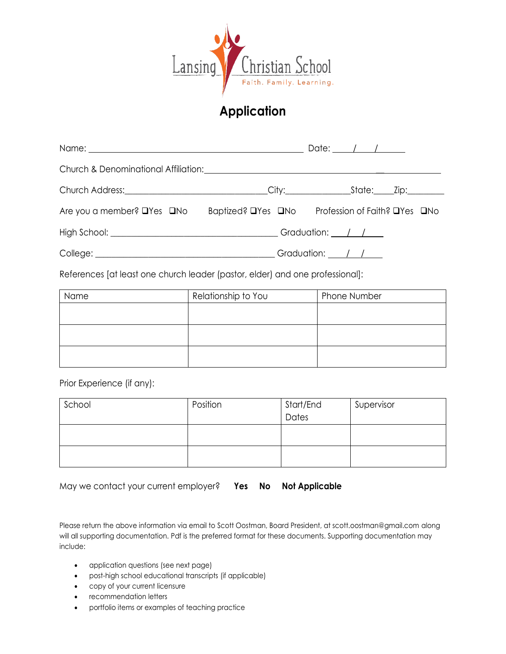

## **Application**

|                                                                           |                    | Date: $\sqrt{1}$                                                                                                                                                                                                                                                                                                                                                                                            |  |
|---------------------------------------------------------------------------|--------------------|-------------------------------------------------------------------------------------------------------------------------------------------------------------------------------------------------------------------------------------------------------------------------------------------------------------------------------------------------------------------------------------------------------------|--|
| Church & Denominational Affiliation: Church & Denominational Affiliation: |                    |                                                                                                                                                                                                                                                                                                                                                                                                             |  |
|                                                                           |                    |                                                                                                                                                                                                                                                                                                                                                                                                             |  |
| Are you a member? □Yes □No                                                | Baptized? □Yes □No | Profession of Faith? □Yes □No                                                                                                                                                                                                                                                                                                                                                                               |  |
|                                                                           |                    | Graduation: $\frac{1}{1-\frac{1}{1-\frac{1}{1-\frac{1}{1-\frac{1}{1-\frac{1}{1-\frac{1}{1-\frac{1}{1-\frac{1}{1-\frac{1}{1-\frac{1}{1-\frac{1}{1-\frac{1}{1-\frac{1}{1-\frac{1}{1-\frac{1}{1-\frac{1}{1-\frac{1}{1-\frac{1}{1-\frac{1}{1-\frac{1}{1-\frac{1}{1-\frac{1}{1-\frac{1}{1-\frac{1}{1-\frac{1}{1-\frac{1}{1-\frac{1}{1-\frac{1}{1-\frac{1}{1-\frac{1}{1-\frac{1}{1-\frac{1}{1-\frac{1}{1-\frac{1$ |  |
|                                                                           |                    | Graduation: / /                                                                                                                                                                                                                                                                                                                                                                                             |  |

References [at least one church leader (pastor, elder) and one professional]:

| Name | Relationship to You | Phone Number |  |
|------|---------------------|--------------|--|
|      |                     |              |  |
|      |                     |              |  |
|      |                     |              |  |
|      |                     |              |  |
|      |                     |              |  |
|      |                     |              |  |

Prior Experience (if any):

| School | Position | Start/End | Supervisor |
|--------|----------|-----------|------------|
|        |          | Dates     |            |
|        |          |           |            |
|        |          |           |            |
|        |          |           |            |
|        |          |           |            |

May we contact your current employer? **Yes No Not Applicable**

Please return the above information via email to Scott Oostman, Board President, at scott.oostman@gmail.com along will all supporting documentation. Pdf is the preferred format for these documents. Supporting documentation may include:

- application questions (see next page)
- post-high school educational transcripts (if applicable)
- copy of your current licensure
- recommendation letters
- portfolio items or examples of teaching practice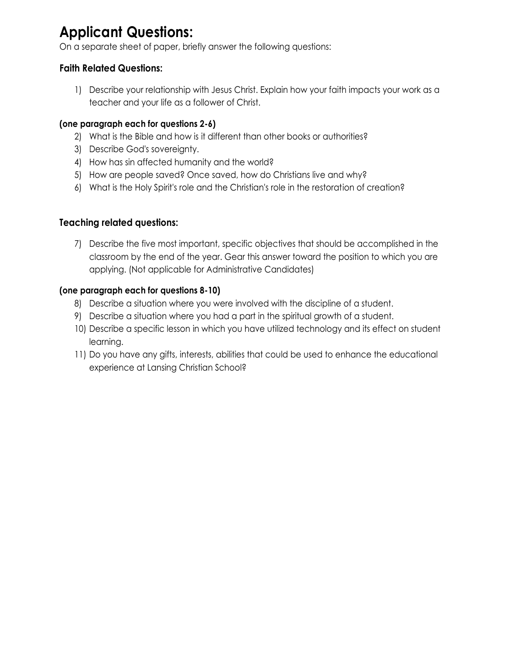# **Applicant Questions:**

On a separate sheet of paper, briefly answer the following questions:

#### **Faith Related Questions:**

1) Describe your relationship with Jesus Christ. Explain how your faith impacts your work as a teacher and your life as a follower of Christ.

#### **(one paragraph each for questions 2-6)**

- 2) What is the Bible and how is it different than other books or authorities?
- 3) Describe God's sovereignty.
- 4) How has sin affected humanity and the world?
- 5) How are people saved? Once saved, how do Christians live and why?
- 6) What is the Holy Spirit's role and the Christian's role in the restoration of creation?

#### **Teaching related questions:**

7) Describe the five most important, specific objectives that should be accomplished in the classroom by the end of the year. Gear this answer toward the position to which you are applying. (Not applicable for Administrative Candidates)

#### **(one paragraph each for questions 8-10)**

- 8) Describe a situation where you were involved with the discipline of a student.
- 9) Describe a situation where you had a part in the spiritual growth of a student.
- 10) Describe a specific lesson in which you have utilized technology and its effect on student learning.
- 11) Do you have any gifts, interests, abilities that could be used to enhance the educational experience at Lansing Christian School?